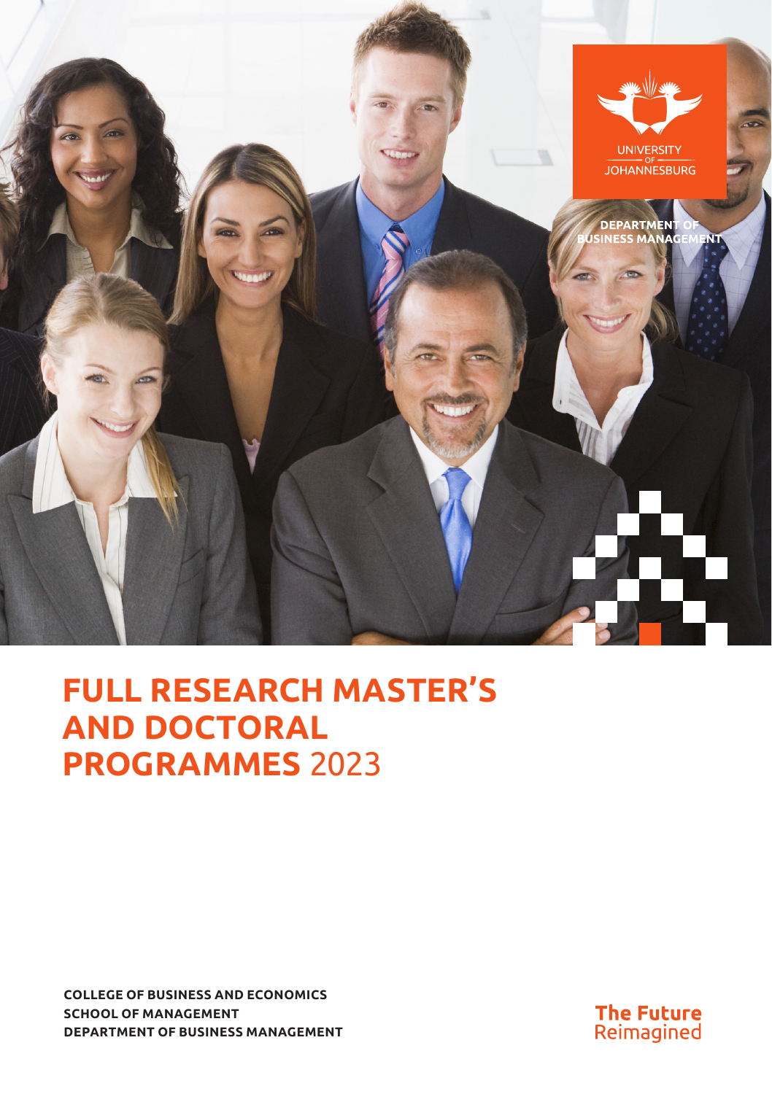

# **FULL RESEARCH MASTER'S AND DOCTORAL PROGRAMMES** 2023

**COLLEGE OF BUSINESS AND ECONOMICS SCHOOL OF MANAGEMENT DEPARTMENT OF BUSINESS MANAGEMENT**

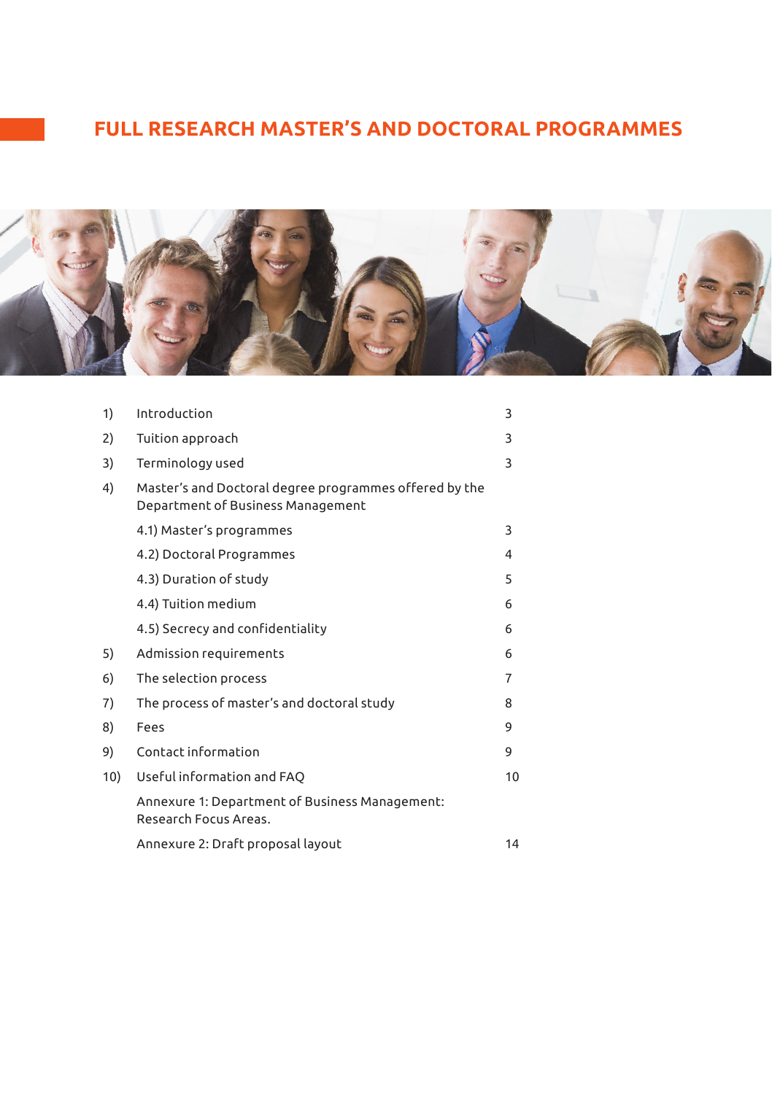# **FULL RESEARCH MASTER'S AND DOCTORAL PROGRAMMES**



| 1)  | Introduction                                                                                | 3  |
|-----|---------------------------------------------------------------------------------------------|----|
| 2)  | Tuition approach                                                                            | 3  |
| 3)  | Terminology used                                                                            | 3  |
| 4)  | Master's and Doctoral degree programmes offered by the<br>Department of Business Management |    |
|     | 4.1) Master's programmes                                                                    | 3  |
|     | 4.2) Doctoral Programmes                                                                    | 4  |
|     | 4.3) Duration of study                                                                      | 5  |
|     | 4.4) Tuition medium                                                                         | 6  |
|     | 4.5) Secrecy and confidentiality                                                            | 6  |
| 5)  | Admission requirements                                                                      | 6  |
| 6)  | The selection process                                                                       | 7  |
| 7)  | The process of master's and doctoral study                                                  | 8  |
| 8)  | Fees                                                                                        | 9  |
| 9)  | Contact information                                                                         | 9  |
| 10) | Useful information and FAQ                                                                  | 10 |
|     | Annexure 1: Department of Business Management:<br>Research Focus Areas.                     |    |
|     | Annexure 2: Draft proposal layout                                                           | 14 |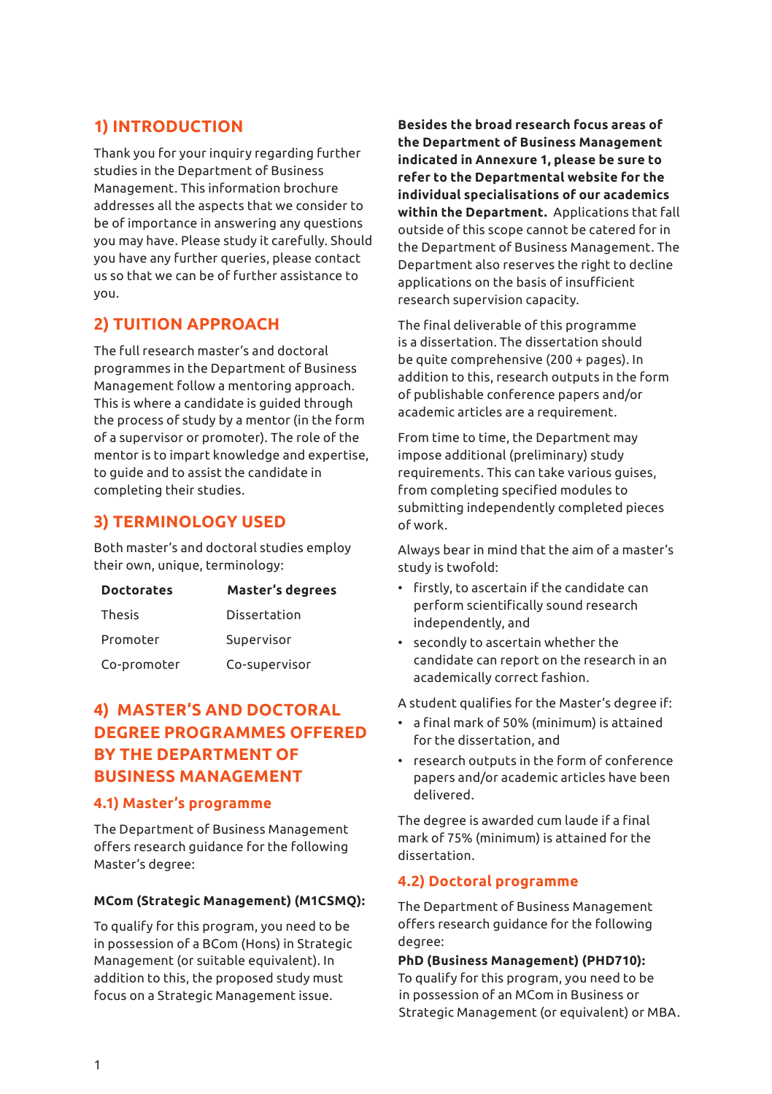# **1) INTRODUCTION**

Thank you for your inquiry regarding further studies in the Department of Business Management. This information brochure addresses all the aspects that we consider to be of importance in answering any questions you may have. Please study it carefully. Should you have any further queries, please contact us so that we can be of further assistance to you.

# **2) TUITION APPROACH**

The full research master's and doctoral programmes in the Department of Business Management follow a mentoring approach. This is where a candidate is guided through the process of study by a mentor (in the form of a supervisor or promoter). The role of the mentor is to impart knowledge and expertise, to guide and to assist the candidate in completing their studies.

# **3) TERMINOLOGY USED**

Both master's and doctoral studies employ their own, unique, terminology:

| <b>Doctorates</b> | Master's degrees |
|-------------------|------------------|
| Thesis            | Dissertation     |
| Promoter          | Supervisor       |
| Co-promoter       | Co-supervisor    |

# **4) MASTER'S AND DOCTORAL DEGREE PROGRAMMES OFFERED BY THE DEPARTMENT OF BUSINESS MANAGEMENT**

### **4.1) Master's programme**

The Department of Business Management offers research guidance for the following Master's degree:

### **MCom (Strategic Management) (M1CSMQ):**

To qualify for this program, you need to be in possession of a BCom (Hons) in Strategic Management (or suitable equivalent). In addition to this, the proposed study must focus on a Strategic Management issue.

**Besides the broad research focus areas of the Department of Business Management indicated in Annexure 1, please be sure to refer to the Departmental website for the individual specialisations of our academics within the Department.** Applications that fall outside of this scope cannot be catered for in the Department of Business Management. The Department also reserves the right to decline applications on the basis of insufficient research supervision capacity.

The final deliverable of this programme is a dissertation. The dissertation should be quite comprehensive (200 + pages). In addition to this, research outputs in the form of publishable conference papers and/or academic articles are a requirement.

From time to time, the Department may impose additional (preliminary) study requirements. This can take various guises, from completing specified modules to submitting independently completed pieces of work.

Always bear in mind that the aim of a master's study is twofold:

- firstly, to ascertain if the candidate can perform scientifically sound research independently, and
- secondly to ascertain whether the candidate can report on the research in an academically correct fashion.

A student qualifies for the Master's degree if:

- a final mark of 50% (minimum) is attained for the dissertation, and
- research outputs in the form of conference papers and/or academic articles have been delivered.

The degree is awarded cum laude if a final mark of 75% (minimum) is attained for the dissertation.

### **4.2) Doctoral programme**

The Department of Business Management offers research guidance for the following degree:

**PhD (Business Management) (PHD710):**  To qualify for this program, you need to be in possession of an MCom in Business or Strategic Management (or equivalent) or MBA.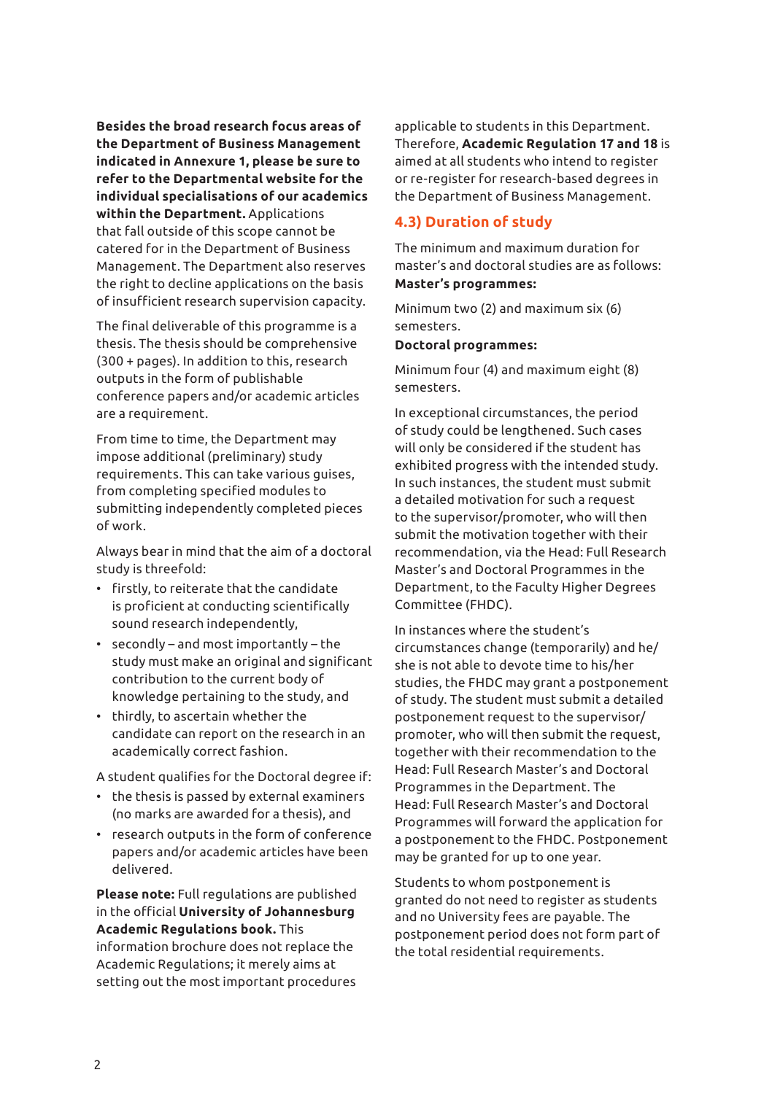**Besides the broad research focus areas of the Department of Business Management indicated in Annexure 1, please be sure to refer to the Departmental website for the individual specialisations of our academics within the Department.** Applications that fall outside of this scope cannot be catered for in the Department of Business Management. The Department also reserves the right to decline applications on the basis of insufficient research supervision capacity.

The final deliverable of this programme is a thesis. The thesis should be comprehensive (300 + pages). In addition to this, research outputs in the form of publishable conference papers and/or academic articles are a requirement.

From time to time, the Department may impose additional (preliminary) study requirements. This can take various guises, from completing specified modules to submitting independently completed pieces of work.

Always bear in mind that the aim of a doctoral study is threefold:

- firstly, to reiterate that the candidate is proficient at conducting scientifically sound research independently,
- secondly and most importantly the study must make an original and significant contribution to the current body of knowledge pertaining to the study, and
- thirdly, to ascertain whether the candidate can report on the research in an academically correct fashion.

A student qualifies for the Doctoral degree if:

- the thesis is passed by external examiners (no marks are awarded for a thesis), and
- research outputs in the form of conference papers and/or academic articles have been delivered.

**Please note:** Full regulations are published in the official **University of Johannesburg Academic Regulations book.** This information brochure does not replace the Academic Regulations; it merely aims at setting out the most important procedures

applicable to students in this Department. Therefore, **Academic Regulation 17 and 18** is aimed at all students who intend to register or re-register for research-based degrees in the Department of Business Management.

### **4.3) Duration of study**

The minimum and maximum duration for master's and doctoral studies are as follows: **Master's programmes:**

Minimum two (2) and maximum six (6) semesters.

#### **Doctoral programmes:**

Minimum four (4) and maximum eight (8) semesters.

In exceptional circumstances, the period of study could be lengthened. Such cases will only be considered if the student has exhibited progress with the intended study. In such instances, the student must submit a detailed motivation for such a request to the supervisor/promoter, who will then submit the motivation together with their recommendation, via the Head: Full Research Master's and Doctoral Programmes in the Department, to the Faculty Higher Degrees Committee (FHDC).

In instances where the student's circumstances change (temporarily) and he/ she is not able to devote time to his/her studies, the FHDC may grant a postponement of study. The student must submit a detailed postponement request to the supervisor/ promoter, who will then submit the request, together with their recommendation to the Head: Full Research Master's and Doctoral Programmes in the Department. The Head: Full Research Master's and Doctoral Programmes will forward the application for a postponement to the FHDC. Postponement may be granted for up to one year.

Students to whom postponement is granted do not need to register as students and no University fees are payable. The postponement period does not form part of the total residential requirements.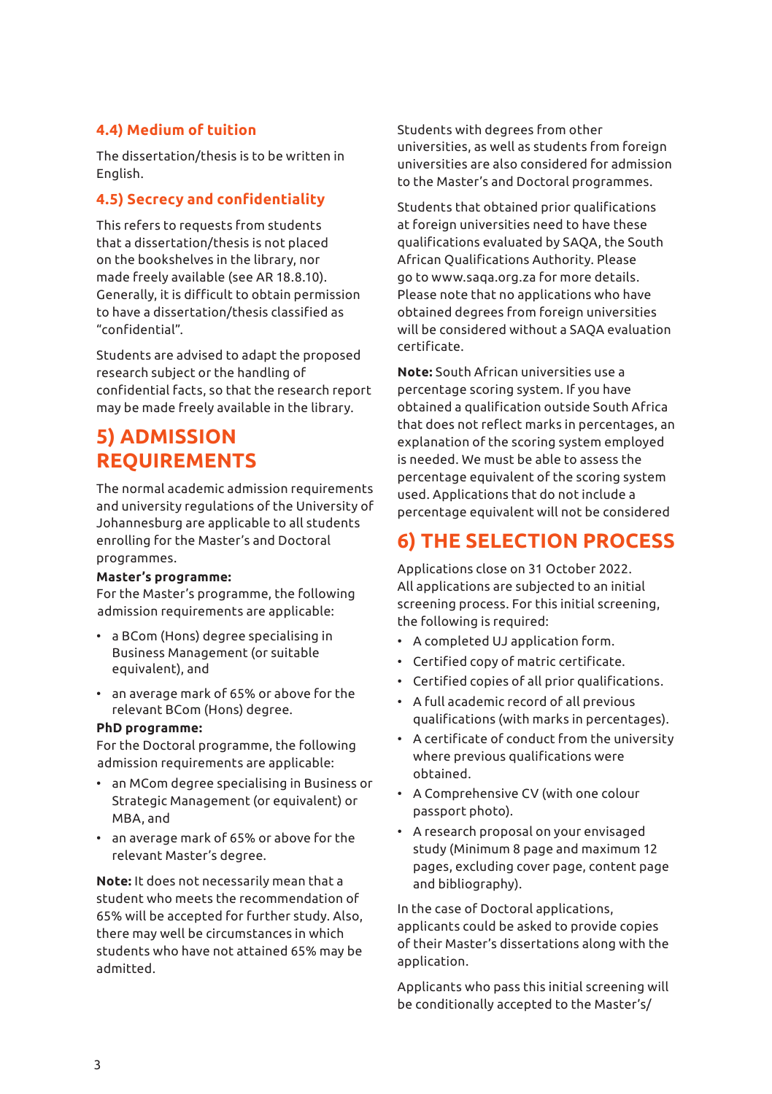# **4.4) Medium of tuition**

The dissertation/thesis is to be written in English.

# **4.5) Secrecy and confidentiality**

This refers to requests from students that a dissertation/thesis is not placed on the bookshelves in the library, nor made freely available (see AR 18.8.10). Generally, it is difficult to obtain permission to have a dissertation/thesis classified as "confidential".

Students are advised to adapt the proposed research subject or the handling of confidential facts, so that the research report may be made freely available in the library.

# **5) ADMISSION REQUIREMENTS**

The normal academic admission requirements and university regulations of the University of Johannesburg are applicable to all students enrolling for the Master's and Doctoral programmes.

### **Master's programme:**

For the Master's programme, the following admission requirements are applicable:

- a BCom (Hons) degree specialising in Business Management (or suitable equivalent), and
- an average mark of 65% or above for the relevant BCom (Hons) degree.

#### **PhD programme:**

For the Doctoral programme, the following admission requirements are applicable:

- an MCom degree specialising in Business or Strategic Management (or equivalent) or MBA, and
- an average mark of 65% or above for the relevant Master's degree.

**Note:** It does not necessarily mean that a student who meets the recommendation of 65% will be accepted for further study. Also, there may well be circumstances in which students who have not attained 65% may be admitted.

Students with degrees from other universities, as well as students from foreign universities are also considered for admission to the Master's and Doctoral programmes.

Students that obtained prior qualifications at foreign universities need to have these qualifications evaluated by SAQA, the South African Qualifications Authority. Please go to www.saqa.org.za for more details. Please note that no applications who have obtained degrees from foreign universities will be considered without a SAQA evaluation certificate.

**Note:** South African universities use a percentage scoring system. If you have obtained a qualification outside South Africa that does not reflect marks in percentages, an explanation of the scoring system employed is needed. We must be able to assess the percentage equivalent of the scoring system used. Applications that do not include a percentage equivalent will not be considered

# **6) THE SELECTION PROCESS**

Applications close on 31 October 2022. All applications are subjected to an initial screening process. For this initial screening, the following is required:

- A completed UJ application form.
- Certified copy of matric certificate.
- Certified copies of all prior qualifications.
- A full academic record of all previous qualifications (with marks in percentages).
- A certificate of conduct from the university where previous qualifications were obtained.
- A Comprehensive CV (with one colour passport photo).
- A research proposal on your envisaged study (Minimum 8 page and maximum 12 pages, excluding cover page, content page and bibliography).

In the case of Doctoral applications, applicants could be asked to provide copies of their Master's dissertations along with the application.

Applicants who pass this initial screening will be conditionally accepted to the Master's/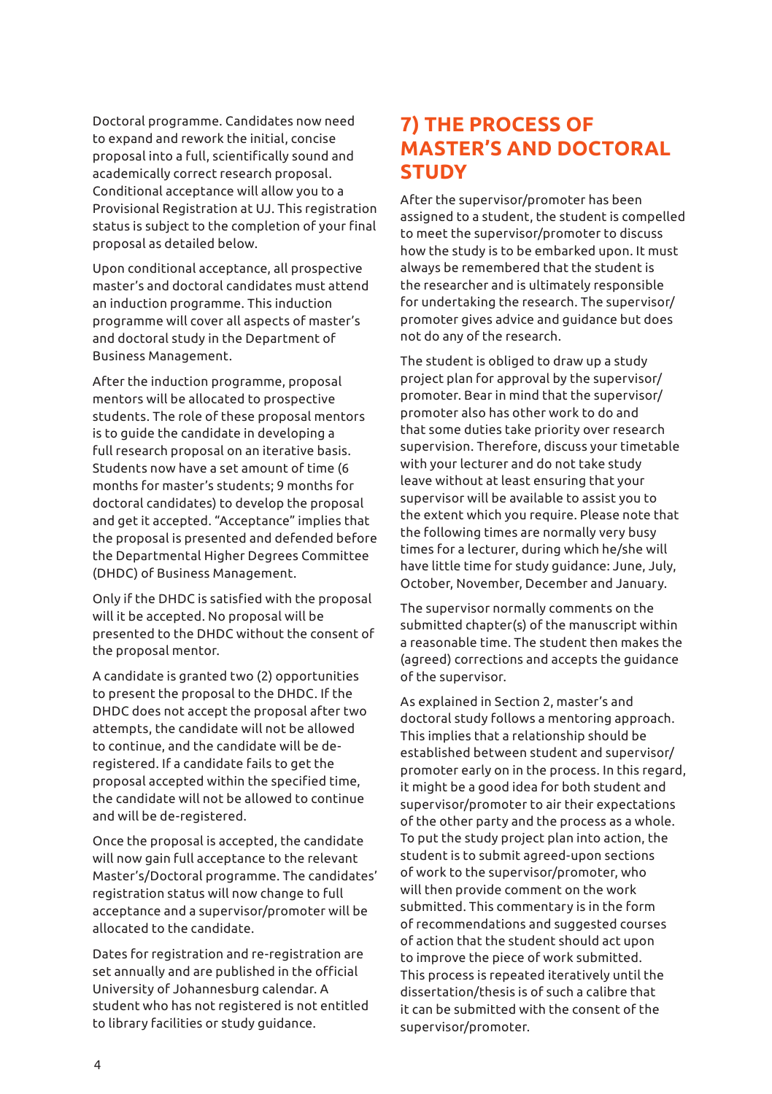Doctoral programme. Candidates now need to expand and rework the initial, concise proposal into a full, scientifically sound and academically correct research proposal. Conditional acceptance will allow you to a Provisional Registration at UJ. This registration status is subject to the completion of your final proposal as detailed below.

Upon conditional acceptance, all prospective master's and doctoral candidates must attend an induction programme. This induction programme will cover all aspects of master's and doctoral study in the Department of Business Management.

After the induction programme, proposal mentors will be allocated to prospective students. The role of these proposal mentors is to guide the candidate in developing a full research proposal on an iterative basis. Students now have a set amount of time (6 months for master's students; 9 months for doctoral candidates) to develop the proposal and get it accepted. "Acceptance" implies that the proposal is presented and defended before the Departmental Higher Degrees Committee (DHDC) of Business Management.

Only if the DHDC is satisfied with the proposal will it be accepted. No proposal will be presented to the DHDC without the consent of the proposal mentor.

A candidate is granted two (2) opportunities to present the proposal to the DHDC. If the DHDC does not accept the proposal after two attempts, the candidate will not be allowed to continue, and the candidate will be deregistered. If a candidate fails to get the proposal accepted within the specified time, the candidate will not be allowed to continue and will be de-registered.

Once the proposal is accepted, the candidate will now gain full acceptance to the relevant Master's/Doctoral programme. The candidates' registration status will now change to full acceptance and a supervisor/promoter will be allocated to the candidate.

Dates for registration and re-registration are set annually and are published in the official University of Johannesburg calendar. A student who has not registered is not entitled to library facilities or study guidance.

# **7) THE PROCESS OF MASTER'S AND DOCTORAL STUDY**

After the supervisor/promoter has been assigned to a student, the student is compelled to meet the supervisor/promoter to discuss how the study is to be embarked upon. It must always be remembered that the student is the researcher and is ultimately responsible for undertaking the research. The supervisor/ promoter gives advice and guidance but does not do any of the research.

The student is obliged to draw up a study project plan for approval by the supervisor/ promoter. Bear in mind that the supervisor/ promoter also has other work to do and that some duties take priority over research supervision. Therefore, discuss your timetable with your lecturer and do not take study leave without at least ensuring that your supervisor will be available to assist you to the extent which you require. Please note that the following times are normally very busy times for a lecturer, during which he/she will have little time for study guidance: June, July, October, November, December and January.

The supervisor normally comments on the submitted chapter(s) of the manuscript within a reasonable time. The student then makes the (agreed) corrections and accepts the guidance of the supervisor.

As explained in Section 2, master's and doctoral study follows a mentoring approach. This implies that a relationship should be established between student and supervisor/ promoter early on in the process. In this regard, it might be a good idea for both student and supervisor/promoter to air their expectations of the other party and the process as a whole. To put the study project plan into action, the student is to submit agreed-upon sections of work to the supervisor/promoter, who will then provide comment on the work submitted. This commentary is in the form of recommendations and suggested courses of action that the student should act upon to improve the piece of work submitted. This process is repeated iteratively until the dissertation/thesis is of such a calibre that it can be submitted with the consent of the supervisor/promoter.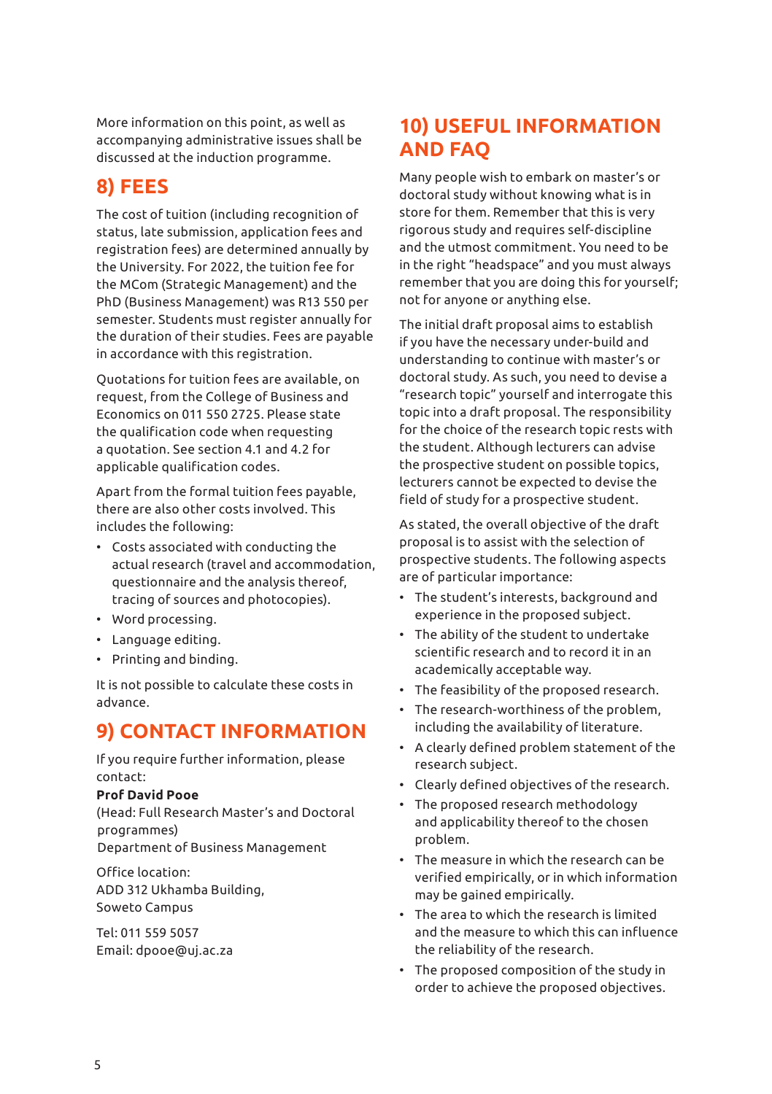More information on this point, as well as accompanying administrative issues shall be discussed at the induction programme.

# **8) FEES**

The cost of tuition (including recognition of status, late submission, application fees and registration fees) are determined annually by the University. For 2022, the tuition fee for the MCom (Strategic Management) and the PhD (Business Management) was R13 550 per semester. Students must register annually for the duration of their studies. Fees are payable in accordance with this registration.

Quotations for tuition fees are available, on request, from the College of Business and Economics on 011 550 2725. Please state the qualification code when requesting a quotation. See section 4.1 and 4.2 for applicable qualification codes.

Apart from the formal tuition fees payable, there are also other costs involved. This includes the following:

- Costs associated with conducting the actual research (travel and accommodation, questionnaire and the analysis thereof, tracing of sources and photocopies).
- Word processing.
- Language editing.
- Printing and binding.

It is not possible to calculate these costs in advance.

# **9) CONTACT INFORMATION**

If you require further information, please contact:

### **Prof David Pooe**

(Head: Full Research Master's and Doctoral programmes) Department of Business Management

Office location: ADD 312 Ukhamba Building, Soweto Campus

Tel: 011 559 5057 Email: dpooe@uj.ac.za

# **10) USEFUL INFORMATION AND FAQ**

Many people wish to embark on master's or doctoral study without knowing what is in store for them. Remember that this is very rigorous study and requires self-discipline and the utmost commitment. You need to be in the right "headspace" and you must always remember that you are doing this for yourself; not for anyone or anything else.

The initial draft proposal aims to establish if you have the necessary under-build and understanding to continue with master's or doctoral study. As such, you need to devise a "research topic" yourself and interrogate this topic into a draft proposal. The responsibility for the choice of the research topic rests with the student. Although lecturers can advise the prospective student on possible topics, lecturers cannot be expected to devise the field of study for a prospective student.

As stated, the overall objective of the draft proposal is to assist with the selection of prospective students. The following aspects are of particular importance:

- The student's interests, background and experience in the proposed subject.
- The ability of the student to undertake scientific research and to record it in an academically acceptable way.
- The feasibility of the proposed research.
- The research-worthiness of the problem, including the availability of literature.
- A clearly defined problem statement of the research subject.
- Clearly defined objectives of the research.
- The proposed research methodology and applicability thereof to the chosen problem.
- The measure in which the research can be verified empirically, or in which information may be gained empirically.
- The area to which the research is limited and the measure to which this can influence the reliability of the research.
- The proposed composition of the study in order to achieve the proposed objectives.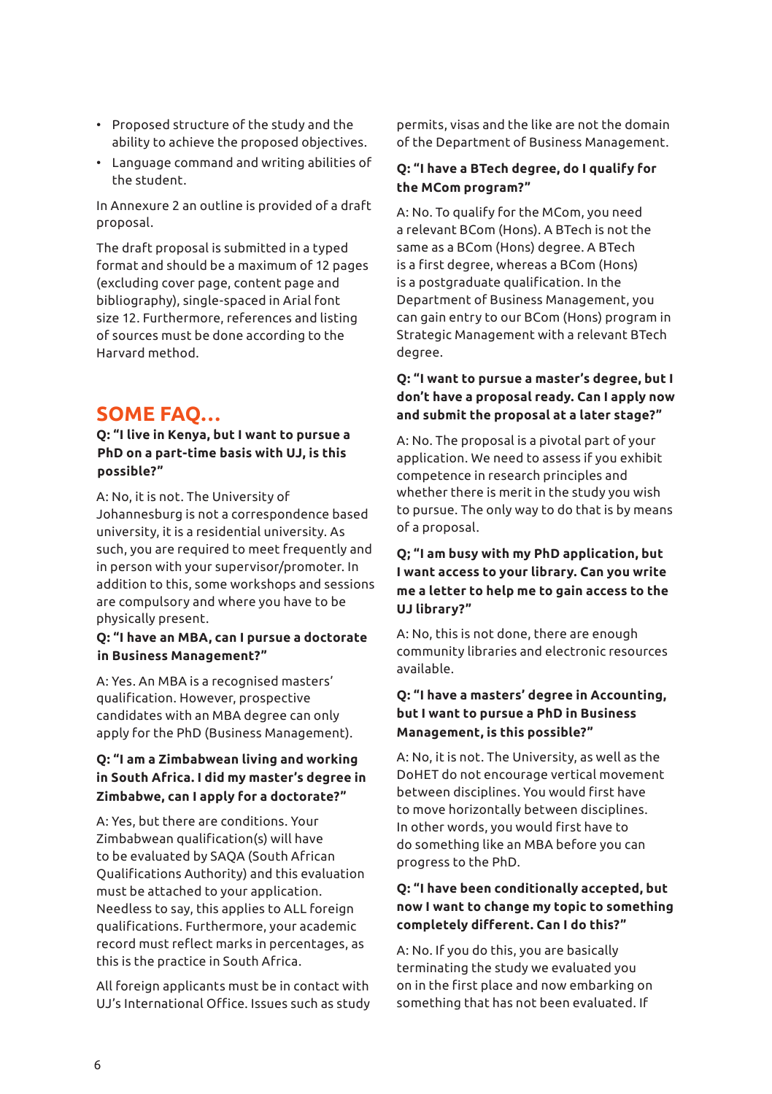- Proposed structure of the study and the ability to achieve the proposed objectives.
- Language command and writing abilities of the student.

In Annexure 2 an outline is provided of a draft proposal.

The draft proposal is submitted in a typed format and should be a maximum of 12 pages (excluding cover page, content page and bibliography), single-spaced in Arial font size 12. Furthermore, references and listing of sources must be done according to the Harvard method.

# **SOME FAQ…**

### **Q: "I live in Kenya, but I want to pursue a PhD on a part-time basis with UJ, is this possible?"**

A: No, it is not. The University of Johannesburg is not a correspondence based university, it is a residential university. As such, you are required to meet frequently and in person with your supervisor/promoter. In addition to this, some workshops and sessions are compulsory and where you have to be physically present.

#### **Q: "I have an MBA, can I pursue a doctorate in Business Management?"**

A: Yes. An MBA is a recognised masters' qualification. However, prospective candidates with an MBA degree can only apply for the PhD (Business Management).

### **Q: "I am a Zimbabwean living and working in South Africa. I did my master's degree in Zimbabwe, can I apply for a doctorate?"**

A: Yes, but there are conditions. Your Zimbabwean qualification(s) will have to be evaluated by SAQA (South African Qualifications Authority) and this evaluation must be attached to your application. Needless to say, this applies to ALL foreign qualifications. Furthermore, your academic record must reflect marks in percentages, as this is the practice in South Africa.

All foreign applicants must be in contact with UJ's International Office. Issues such as study

permits, visas and the like are not the domain of the Department of Business Management.

### **Q: "I have a BTech degree, do I qualify for the MCom program?"**

A: No. To qualify for the MCom, you need a relevant BCom (Hons). A BTech is not the same as a BCom (Hons) degree. A BTech is a first degree, whereas a BCom (Hons) is a postgraduate qualification. In the Department of Business Management, you can gain entry to our BCom (Hons) program in Strategic Management with a relevant BTech degree.

### **Q: "I want to pursue a master's degree, but I don't have a proposal ready. Can I apply now and submit the proposal at a later stage?"**

A: No. The proposal is a pivotal part of your application. We need to assess if you exhibit competence in research principles and whether there is merit in the study you wish to pursue. The only way to do that is by means of a proposal.

### **Q; "I am busy with my PhD application, but I want access to your library. Can you write me a letter to help me to gain access to the UJ library?"**

A: No, this is not done, there are enough community libraries and electronic resources available.

### **Q: "I have a masters' degree in Accounting, but I want to pursue a PhD in Business Management, is this possible?"**

A: No, it is not. The University, as well as the DoHET do not encourage vertical movement between disciplines. You would first have to move horizontally between disciplines. In other words, you would first have to do something like an MBA before you can progress to the PhD.

## **Q: "I have been conditionally accepted, but now I want to change my topic to something completely different. Can I do this?"**

A: No. If you do this, you are basically terminating the study we evaluated you on in the first place and now embarking on something that has not been evaluated. If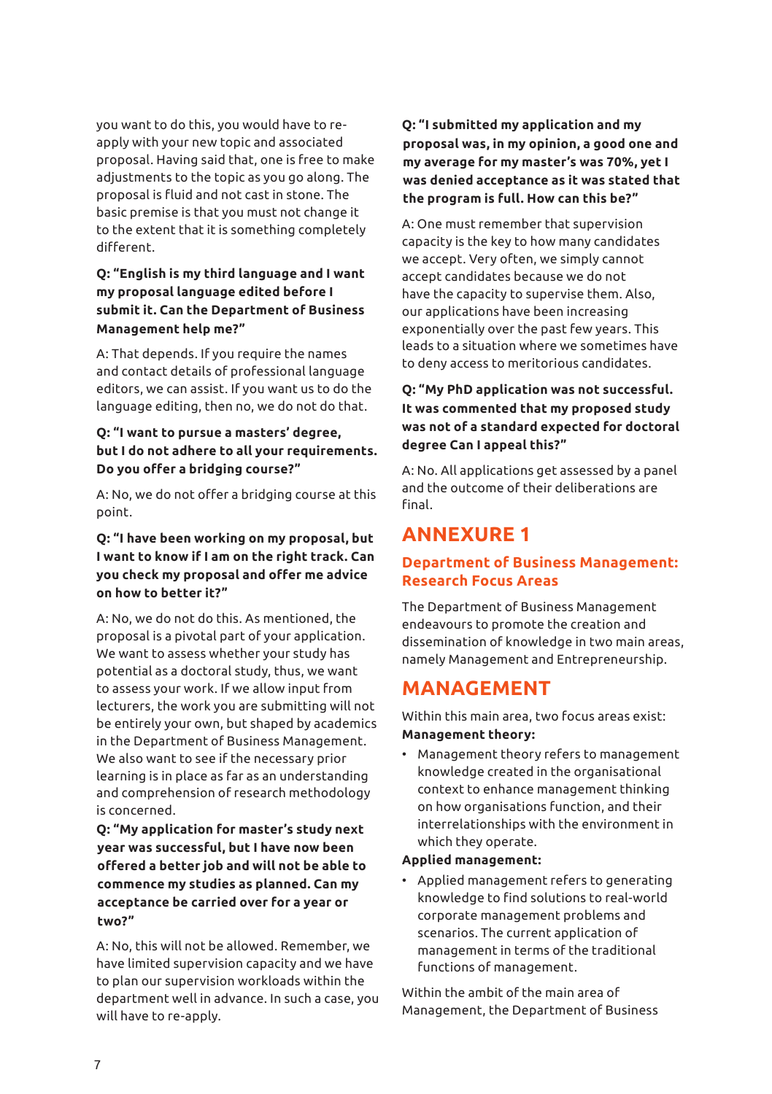you want to do this, you would have to reapply with your new topic and associated proposal. Having said that, one is free to make adjustments to the topic as you go along. The proposal is fluid and not cast in stone. The basic premise is that you must not change it to the extent that it is something completely different.

### **Q: "English is my third language and I want my proposal language edited before I submit it. Can the Department of Business Management help me?"**

A: That depends. If you require the names and contact details of professional language editors, we can assist. If you want us to do the language editing, then no, we do not do that.

## **Q: "I want to pursue a masters' degree, but I do not adhere to all your requirements. Do you offer a bridging course?"**

A: No, we do not offer a bridging course at this point.

### **Q: "I have been working on my proposal, but I want to know if I am on the right track. Can you check my proposal and offer me advice on how to better it?"**

A: No, we do not do this. As mentioned, the proposal is a pivotal part of your application. We want to assess whether your study has potential as a doctoral study, thus, we want to assess your work. If we allow input from lecturers, the work you are submitting will not be entirely your own, but shaped by academics in the Department of Business Management. We also want to see if the necessary prior learning is in place as far as an understanding and comprehension of research methodology is concerned.

**Q: "My application for master's study next year was successful, but I have now been offered a better job and will not be able to commence my studies as planned. Can my acceptance be carried over for a year or two?"**

A: No, this will not be allowed. Remember, we have limited supervision capacity and we have to plan our supervision workloads within the department well in advance. In such a case, you will have to re-apply.

## **Q: "I submitted my application and my proposal was, in my opinion, a good one and my average for my master's was 70%, yet I was denied acceptance as it was stated that the program is full. How can this be?"**

A: One must remember that supervision capacity is the key to how many candidates we accept. Very often, we simply cannot accept candidates because we do not have the capacity to supervise them. Also, our applications have been increasing exponentially over the past few years. This leads to a situation where we sometimes have to deny access to meritorious candidates.

### **Q: "My PhD application was not successful. It was commented that my proposed study was not of a standard expected for doctoral degree Can I appeal this?"**

A: No. All applications get assessed by a panel and the outcome of their deliberations are final.

# **ANNEXURE 1**

# **Department of Business Management: Research Focus Areas**

The Department of Business Management endeavours to promote the creation and dissemination of knowledge in two main areas, namely Management and Entrepreneurship.

# **MANAGEMENT**

Within this main area, two focus areas exist: **Management theory:** 

• Management theory refers to management knowledge created in the organisational context to enhance management thinking on how organisations function, and their interrelationships with the environment in which they operate.

### **Applied management:**

• Applied management refers to generating knowledge to find solutions to real-world corporate management problems and scenarios. The current application of management in terms of the traditional functions of management.

Within the ambit of the main area of Management, the Department of Business